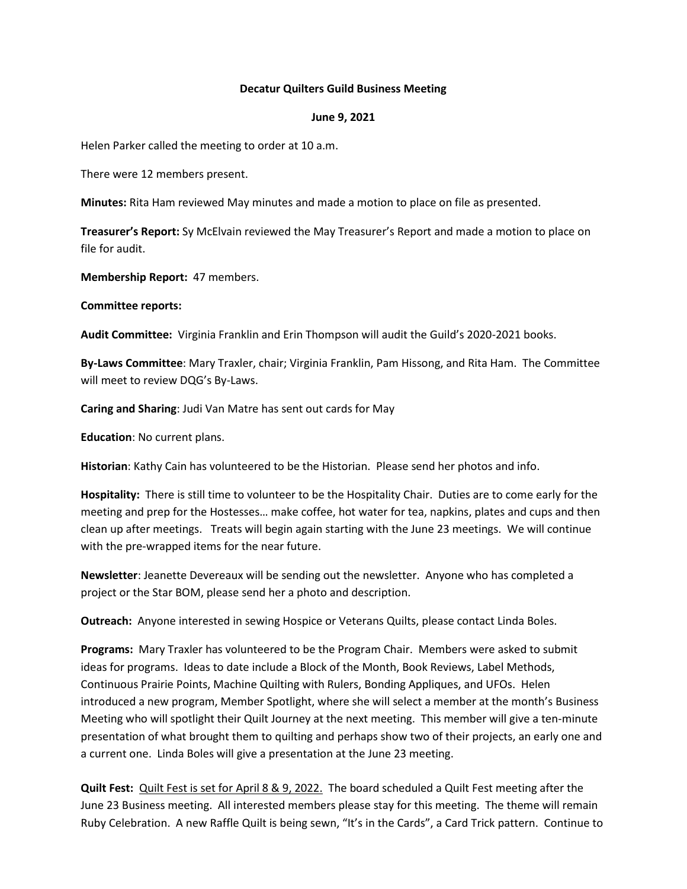## **Decatur Quilters Guild Business Meeting**

#### **June 9, 2021**

Helen Parker called the meeting to order at 10 a.m.

There were 12 members present.

**Minutes:** Rita Ham reviewed May minutes and made a motion to place on file as presented.

**Treasurer's Report:** Sy McElvain reviewed the May Treasurer's Report and made a motion to place on file for audit.

**Membership Report:** 47 members.

**Committee reports:** 

**Audit Committee:** Virginia Franklin and Erin Thompson will audit the Guild's 2020-2021 books.

**By-Laws Committee**: Mary Traxler, chair; Virginia Franklin, Pam Hissong, and Rita Ham. The Committee will meet to review DQG's By-Laws.

**Caring and Sharing**: Judi Van Matre has sent out cards for May

**Education**: No current plans.

**Historian**: Kathy Cain has volunteered to be the Historian. Please send her photos and info.

**Hospitality:** There is still time to volunteer to be the Hospitality Chair. Duties are to come early for the meeting and prep for the Hostesses… make coffee, hot water for tea, napkins, plates and cups and then clean up after meetings. Treats will begin again starting with the June 23 meetings. We will continue with the pre-wrapped items for the near future.

**Newsletter**: Jeanette Devereaux will be sending out the newsletter. Anyone who has completed a project or the Star BOM, please send her a photo and description.

**Outreach:** Anyone interested in sewing Hospice or Veterans Quilts, please contact Linda Boles.

**Programs:** Mary Traxler has volunteered to be the Program Chair. Members were asked to submit ideas for programs. Ideas to date include a Block of the Month, Book Reviews, Label Methods, Continuous Prairie Points, Machine Quilting with Rulers, Bonding Appliques, and UFOs. Helen introduced a new program, Member Spotlight, where she will select a member at the month's Business Meeting who will spotlight their Quilt Journey at the next meeting. This member will give a ten-minute presentation of what brought them to quilting and perhaps show two of their projects, an early one and a current one. Linda Boles will give a presentation at the June 23 meeting.

**Quilt Fest:** Quilt Fest is set for April 8 & 9, 2022. The board scheduled a Quilt Fest meeting after the June 23 Business meeting. All interested members please stay for this meeting. The theme will remain Ruby Celebration. A new Raffle Quilt is being sewn, "It's in the Cards", a Card Trick pattern. Continue to